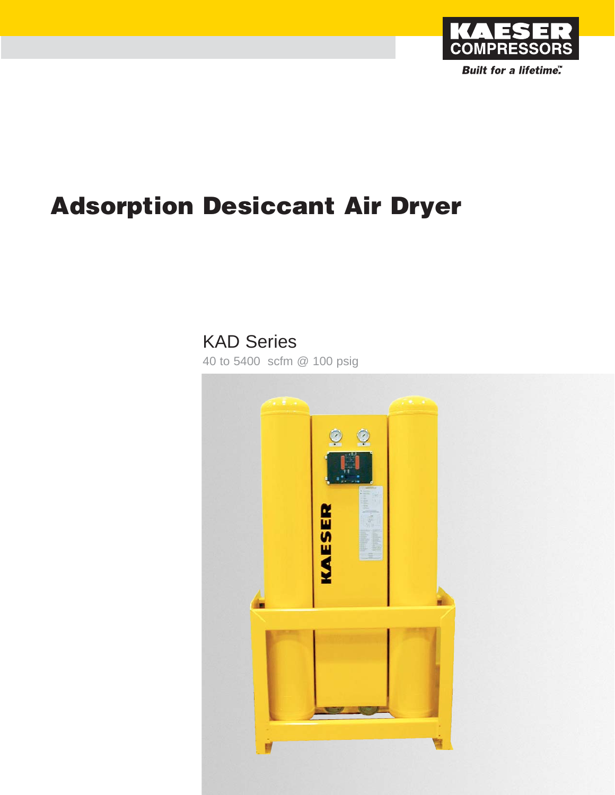

# **Adsorption Desiccant Air Dryer**

## KAD Series

40 to 5400 scfm @ 100 psig

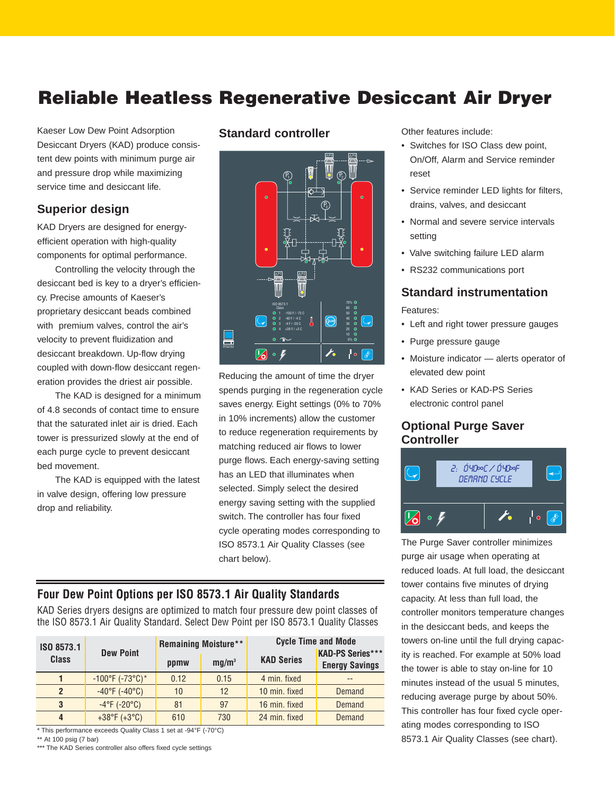### **Reliable Heatless Regenerative Desiccant Air Dryer**

Kaeser Low Dew Point Adsorption Desiccant Dryers (KAD) produce consistent dew points with minimum purge air and pressure drop while maximizing service time and desiccant life.

#### **Superior design**

KAD Dryers are designed for energyefficient operation with high-quality components for optimal performance.

Controlling the velocity through the desiccant bed is key to a dryer's efficiency. Precise amounts of Kaeser's proprietary desiccant beads combined with premium valves, control the air's velocity to prevent fluidization and desiccant breakdown. Up-flow drying coupled with down-flow desiccant regeneration provides the driest air possible.

The KAD is designed for a minimum of 4.8 seconds of contact time to ensure that the saturated inlet air is dried. Each tower is pressurized slowly at the end of each purge cycle to prevent desiccant bed movement.

The KAD is equipped with the latest in valve design, offering low pressure drop and reliability.

#### **Standard controller**



Reducing the amount of time the dryer spends purging in the regeneration cycle saves energy. Eight settings (0% to 70% in 10% increments) allow the customer to reduce regeneration requirements by matching reduced air flows to lower purge flows. Each energy-saving setting has an LED that illuminates when selected. Simply select the desired energy saving setting with the supplied switch. The controller has four fixed cycle operating modes corresponding to ISO 8573.1 Air Quality Classes (see chart below).

#### **Four Dew Point Options per ISO 8573.1 Air Quality Standards**

KAD Series dryers designs are optimized to match four pressure dew point classes of the ISO 8573.1 Air Quality Standard. Select Dew Point per ISO 8573.1 Quality Classes

| ISO 8573.1   |                                   |      | <b>Remaining Moisture**</b> | <b>Cycle Time and Mode</b> |                                                  |  |
|--------------|-----------------------------------|------|-----------------------------|----------------------------|--------------------------------------------------|--|
| <b>Class</b> | <b>Dew Point</b>                  | ppmw | mq/m <sup>3</sup>           | <b>KAD Series</b>          | <b>KAD-PS Series***</b><br><b>Energy Savings</b> |  |
|              | $-100^{\circ}$ F (-73°C)*         | 0.12 | 0.15                        | 4 min. fixed               |                                                  |  |
|              | $-40^{\circ}F$ ( $-40^{\circ}C$ ) | 10   | 12                          | 10 min. fixed              | Demand                                           |  |
| 3            | $-4^{\circ}F (-20^{\circ}C)$      | 81   | 97                          | 16 min. fixed              | Demand                                           |  |
| 4            | $+38^{\circ}F (+3^{\circ}C)$      | 610  | 730                         | 24 min. fixed              | Demand                                           |  |

\* This performance exceeds Quality Class 1 set at -94°F (-70°C)

\*\* At 100 psig (7 bar)

\*\*\* The KAD Series controller also offers fixed cycle settings

Other features include:

- Switches for ISO Class dew point, On/Off, Alarm and Service reminder reset
- Service reminder LED lights for filters, drains, valves, and desiccant
- Normal and severe service intervals setting
- Valve switching failure LED alarm
- RS232 communications port

### **Standard instrumentation**

Features:

- Left and right tower pressure gauges
- Purge pressure gauge
- Moisture indicator alerts operator of elevated dew point
- KAD Series or KAD-PS Series electronic control panel

#### **Optional Purge Saver Controller**



The Purge Saver controller minimizes purge air usage when operating at reduced loads. At full load, the desiccant tower contains five minutes of drying capacity. At less than full load, the controller monitors temperature changes in the desiccant beds, and keeps the towers on-line until the full drying capacity is reached. For example at 50% load the tower is able to stay on-line for 10 minutes instead of the usual 5 minutes, reducing average purge by about 50%. This controller has four fixed cycle operating modes corresponding to ISO 8573.1 Air Quality Classes (see chart).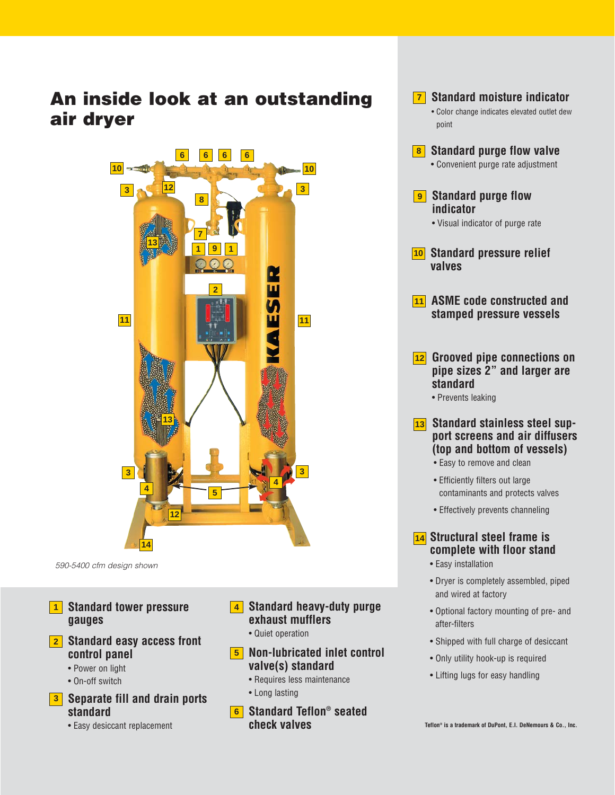### **An inside look at an outstanding air dryer**



590-5400 cfm design shown

- **Standard tower pressure 1 gauges**
- **Standard easy access front 2 control panel**
	- Power on light
	- On-off switch

#### **Separate fill and drain ports 3 standard**

• Easy desiccant replacement

- **Standard heavy-duty purge 4 exhaust mufflers**
	- Quiet operation
- **Non-lubricated inlet control 5 valve(s) standard**
	- Requires less maintenance
	- Long lasting
- **Standard Teflon® seated 6 check valves**

| <b>7</b> Standard moisture indicator<br>· Color change indicates elevated outlet dew<br>point                                                      |
|----------------------------------------------------------------------------------------------------------------------------------------------------|
| 8 Standard purge flow valve<br>• Convenient purge rate adjustment                                                                                  |
| <b>9</b> Standard purge flow<br>indicator<br>• Visual indicator of purge rate                                                                      |
| 10 Standard pressure relief<br>valves                                                                                                              |
| 11 ASME code constructed and<br>stamped pressure vessels                                                                                           |
| 12 Grooved pipe connections on<br>pipe sizes 2" and larger are<br>standard<br>• Prevents leaking                                                   |
| 13 Standard stainless steel sup-<br>port screens and air diffusers<br>(top and bottom of vessels)<br>• Easy to remove and clean                    |
| • Efficiently filters out large<br>contaminants and protects valves                                                                                |
| • Effectively prevents channeling                                                                                                                  |
| 14 Structural steel frame is<br>complete with floor stand<br>• Easy installation<br>· Dryer is completely assembled, piped<br>and wired at factory |

- Optional factory mounting of pre- and after-filters
- Shipped with full charge of desiccant
- Only utility hook-up is required
- Lifting lugs for easy handling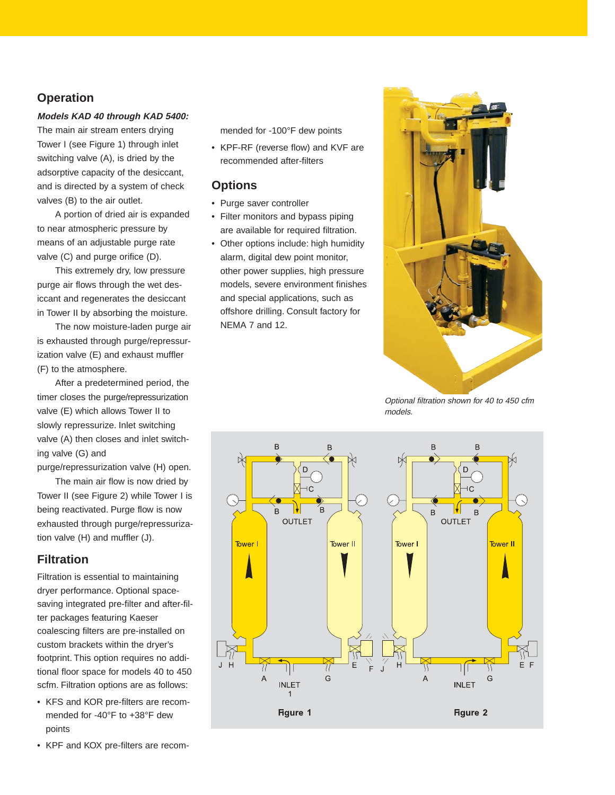#### **Operation**

#### **Models KAD 40 through KAD 5400:**

The main air stream enters drying Tower I (see Figure 1) through inlet switching valve (A), is dried by the adsorptive capacity of the desiccant, and is directed by a system of check valves (B) to the air outlet.

A portion of dried air is expanded to near atmospheric pressure by means of an adjustable purge rate valve (C) and purge orifice (D).

This extremely dry, low pressure purge air flows through the wet desiccant and regenerates the desiccant in Tower II by absorbing the moisture.

The now moisture-laden purge air is exhausted through purge/repressurization valve (E) and exhaust muffler (F) to the atmosphere.

After a predetermined period, the timer closes the purge/repressurization valve (E) which allows Tower II to slowly repressurize. Inlet switching valve (A) then closes and inlet switching valve (G) and

purge/repressurization valve (H) open.

The main air flow is now dried by Tower II (see Figure 2) while Tower I is being reactivated. Purge flow is now exhausted through purge/repressurization valve (H) and muffler (J).

#### **Filtration**

Filtration is essential to maintaining dryer performance. Optional spacesaving integrated pre-filter and after-filter packages featuring Kaeser coalescing filters are pre-installed on custom brackets within the dryer's footprint. This option requires no additional floor space for models 40 to 450 scfm. Filtration options are as follows:

- KFS and KOR pre-filters are recommended for -40°F to +38°F dew points
- KPF and KOX pre-filters are recom-

mended for -100°F dew points

• KPF-RF (reverse flow) and KVF are recommended after-filters

#### **Options**

- Purge saver controller
- Filter monitors and bypass piping are available for required filtration.
- Other options include: high humidity alarm, digital dew point monitor, other power supplies, high pressure models, severe environment finishes and special applications, such as offshore drilling. Consult factory for NEMA 7 and 12.



Optional filtration shown for 40 to 450 cfm models.

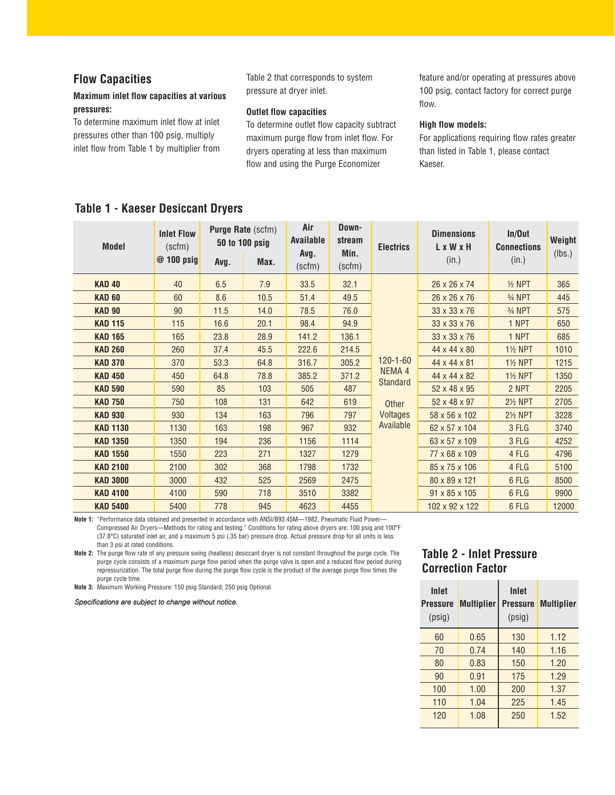#### **Flow Capacities**

#### **Maximum inlet flow capacities at various pressures:**

To determine maximum inlet flow at inlet pressures other than 100 psig, multiply inlet flow from Table 1 by multiplier from Table 2 that corresponds to system pressure at dryer inlet.

#### **Outlet flow capacities**

To determine outlet flow capacity subtract maximum purge flow from inlet flow. For dryers operating at less than maximum flow and using the Purge Economizer

feature and/or operating at pressures above 100 psig, contact factory for correct purge flow.

#### **High flow models:**

For applications requiring flow rates greater than listed in Table 1, please contact Kaeser.

#### **Table 1 - Kaeser Desiccant Dryers**

| <b>Model</b>    | <b>Inlet Flow</b><br>(scfm)<br>$@ 100$ psig | Avg. | <b>Purge Rate (scfm)</b><br>50 to 100 psig<br>Max. | Air<br><b>Available</b><br>Avg.<br>(scfm) | Down-<br>stream<br>Min.<br>(scfm) | <b>Electrics</b>  | <b>Dimensions</b><br>L x W x H<br>(in.) | In/Out<br><b>Connections</b><br>(in.) | Weight<br>(lbs.) |
|-----------------|---------------------------------------------|------|----------------------------------------------------|-------------------------------------------|-----------------------------------|-------------------|-----------------------------------------|---------------------------------------|------------------|
| <b>KAD 40</b>   | 40                                          | 6.5  | 7.9                                                | 33.5                                      | 32.1                              |                   | 26 x 26 x 74                            | $1/2$ NPT                             | 365              |
| <b>KAD 60</b>   | 60                                          | 8.6  | 10.5                                               | 51.4                                      | 49.5                              |                   | 26 x 26 x 76                            | 3/ <sub>4</sub> NPT                   | 445              |
| <b>KAD 90</b>   | 90                                          | 11.5 | 14.0                                               | 78.5                                      | 76.0                              |                   | 33 x 33 x 76                            | 3/4 NPT                               | 575              |
| <b>KAD 115</b>  | 115                                         | 16.6 | 20.1                                               | 98.4                                      | 94.9                              |                   | 33 x 33 x 76                            | 1 NPT                                 | 650              |
| <b>KAD 165</b>  | 165                                         | 23.8 | 28.9                                               | 141.2                                     | 136.1                             |                   | $33 \times 33 \times 76$                | 1 NPT                                 | 685              |
| <b>KAD 260</b>  | 260                                         | 37.4 | 45.5                                               | 222.6                                     | 214.5                             |                   | 44 x 44 x 80                            | <b>1½ NPT</b>                         | 1010             |
| <b>KAD 370</b>  | 370                                         | 53.3 | 64.8                                               | 316.7                                     | 305.2                             | $120 - 1 - 60$    | 44 x 44 x 81                            | <b>11/2 NPT</b>                       | 1215             |
| <b>KAD 450</b>  | 450                                         | 64.8 | 78.8                                               | 385.2                                     | 371.2                             | NEMA <sub>4</sub> | 44 x 44 x 82                            | <b>1% NPT</b>                         | 1350             |
| <b>KAD 590</b>  | 590                                         | 85   | 103                                                | 505                                       | 487                               | <b>Standard</b>   | 52 x 48 x 95                            | 2 NPT                                 | 2205             |
| <b>KAD 750</b>  | 750                                         | 108  | 131                                                | 642                                       | 619                               | Other             | 52 x 48 x 97                            | <b>21/2 NPT</b>                       | 2705             |
| <b>KAD 930</b>  | 930                                         | 134  | 163                                                | 796                                       | 797                               | <b>Voltages</b>   | 58 x 56 x 102                           | <b>21/2 NPT</b>                       | 3228             |
| <b>KAD 1130</b> | 1130                                        | 163  | 198                                                | 967                                       | 932                               | Available         | 62 x 57 x 104                           | 3 FLG                                 | 3740             |
| <b>KAD 1350</b> | 1350                                        | 194  | 236                                                | 1156                                      | 1114                              |                   | 63 x 57 x 109                           | 3 FLG                                 | 4252             |
| <b>KAD 1550</b> | 1550                                        | 223  | 271                                                | 1327                                      | 1279                              |                   | 77 x 68 x 109                           | 4 FLG                                 | 4796             |
| <b>KAD 2100</b> | 2100                                        | 302  | 368                                                | 1798                                      | 1732                              |                   | 85 x 75 x 106                           | 4 FLG                                 | 5100             |
| <b>KAD 3000</b> | 3000                                        | 432  | 525                                                | 2569                                      | 2475                              |                   | 80 x 89 x 121                           | 6 FLG                                 | 8500             |
| <b>KAD 4100</b> | 4100                                        | 590  | 718                                                | 3510                                      | 3382                              |                   | 91 x 85 x 105                           | 6 FLG                                 | 9900             |
| <b>KAD 5400</b> | 5400                                        | 778  | 945                                                | 4623                                      | 4455                              |                   | 102 x 92 x 122                          | 6 FLG                                 | 12000            |

**Note 1:** "Performance data obtained and presented in accordance with ANSI/B93.45M—1982, Pneumatic Fluid Power— Compressed Air Dryers—Methods for rating and testing." Conditions for rating above dryers are: 100 psig and 100°F (37.8°C) saturated inlet air, and a maximum 5 psi (.35 bar) pressure drop. Actual pressure drop for all units is less than 3 psi at rated conditions.

**Note 2:** The purge flow rate of any pressure swing (heatless) desiccant dryer is not constant throughout the purge cycle. The purge cycle consists of a maximum purge flow period when the purge valve is open and a reduced flow period during repressurization. The total purge flow during the purge flow cycle is the product of the average purge flow times the purge cycle time.

**Note 3:** Maximum Working Pressure: 150 psig Standard; 250 psig Optional

Specifications are subject to change without notice.

#### **Table 2 - Inlet Pressure Correction Factor**

| Inlet<br><b>Pressure</b><br>(psig) | <b>Multiplier</b> | <b>Inlet</b><br><b>Pressure</b><br>(psig) | <b>Multiplier</b> |
|------------------------------------|-------------------|-------------------------------------------|-------------------|
| 60                                 | 0.65              | 130                                       | 1.12              |
| 70                                 | 0.74              | 140                                       | 1.16              |
| 80                                 | 0.83              | 150                                       | 1.20              |
| 90                                 | 0.91              | 175                                       | 1.29              |
| 100                                | 1.00              | 200                                       | 1.37              |
| 110                                | 1.04              | 225                                       | 1.45              |
| 120                                | 1.08              | 250                                       | 1.52              |